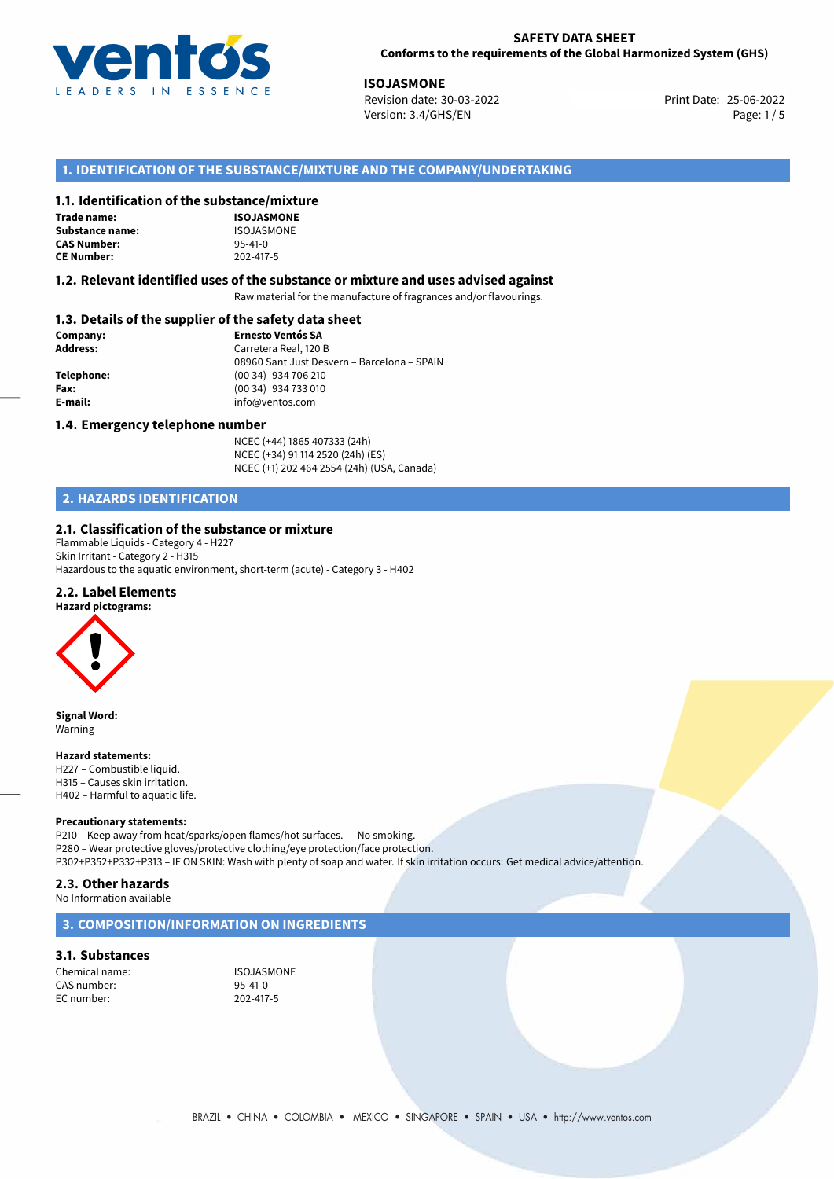

25-06-2022 **ISOJASMONE** Revision date: 30-03-2022 Print Date: Version: 3.4/GHS/EN Page: 1/5

# **1. IDENTIFICATION OF THE SUBSTANCE/MIXTURE AND THE COMPANY/UNDERTAKING**

# **1.1. Identification of the substance/mixture**

**Trade name: Substance name: CAS Number: CE Number:** 202-417-5

| ינפוונכן ווווגנ |
|-----------------|
| ISOJASMONE      |
| ISOJASMONE      |
| $95 - 41 - 0$   |
| 202-417-5       |

#### **1.2. Relevant identified uses of the substance or mixture and uses advised against**

Raw material for the manufacture of fragrances and/or flavourings.

# **1.3. Details of the supplier of the safety data sheet**

| Company:        | <b>Ernesto Ventós SA</b>                    |  |
|-----------------|---------------------------------------------|--|
| <b>Address:</b> | Carretera Real, 120 B                       |  |
|                 | 08960 Sant Just Desvern - Barcelona - SPAIN |  |
| Telephone:      | (00 34) 934 706 210                         |  |
| Fax:            | (00 34) 934 733 010                         |  |
| E-mail:         | info@ventos.com                             |  |
|                 |                                             |  |

#### **1.4. Emergency telephone number**

NCEC (+44) 1865 407333 (24h) NCEC (+34) 91 114 2520 (24h) (ES) NCEC (+1) 202 464 2554 (24h) (USA, Canada)

# **2. HAZARDS IDENTIFICATION**

#### **2.1. Classification of the substance or mixture**

Flammable Liquids - Category 4 - H227 Skin Irritant - Category 2 - H315 Hazardous to the aquatic environment, short-term (acute) - Category 3 - H402

#### **2.2. Label Elements**



**Signal Word:** Warning

#### **Hazard statements:**

H227 – Combustible liquid. H315 – Causes skin irritation. H402 – Harmful to aquatic life.

#### **Precautionary statements:**

P210 – Keep away from heat/sparks/open flames/hot surfaces. — No smoking. P280 – Wear protective gloves/protective clothing/eye protection/face protection. P302+P352+P332+P313 – IF ON SKIN: Wash with plenty of soap and water. If skin irritation occurs: Get medical advice/attention.

#### **2.3. Other hazards**

No Information available

# **3. COMPOSITION/INFORMATION ON INGREDIENTS**

# **3.1. Substances**

Chemical name: ISOJASMONE<br>CAS number: 95-41-0 CAS number: EC number: 202-417-5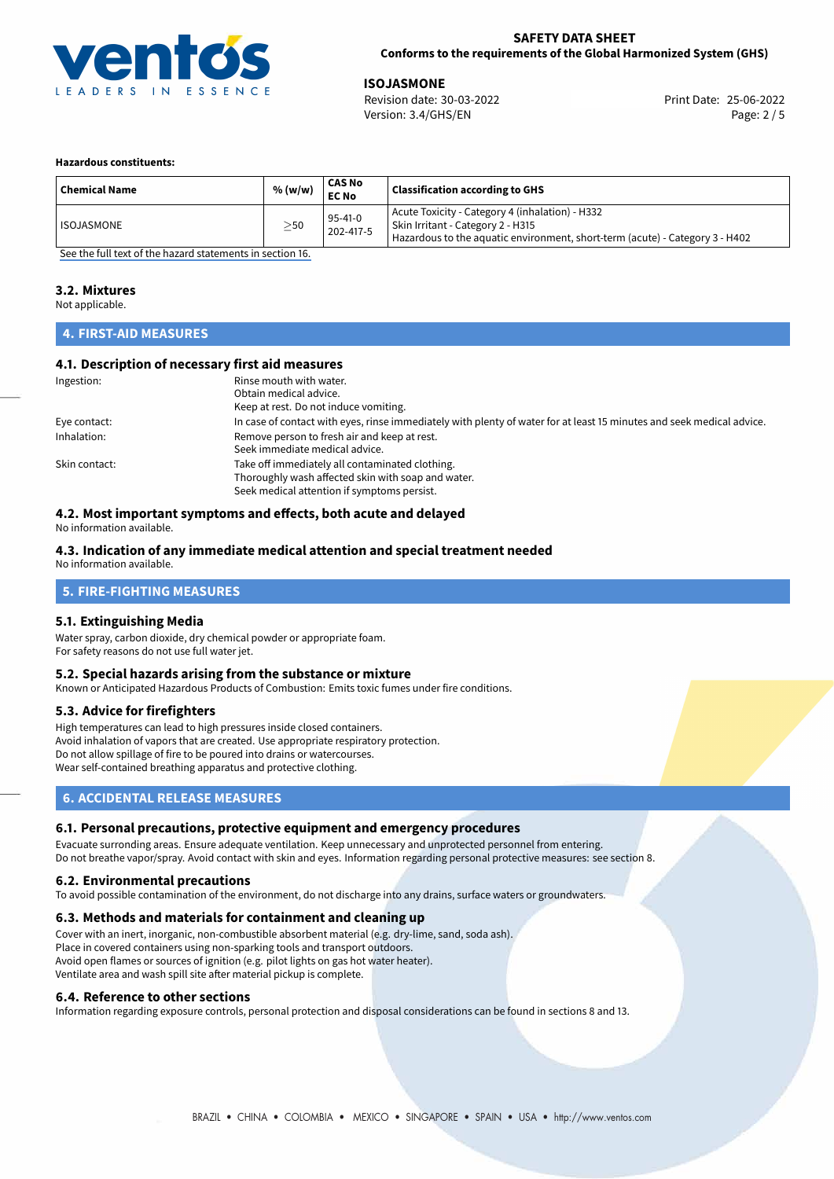

25-06-2022 **ISOJASMONE** Revision date: 30-03-2022 Print Date: Version: 3.4/GHS/EN Page: 2 / 5

#### **Hazardous constituents:**

| <b>Chemical Name</b> | % (w/w)   | <b>CAS No</b><br><b>EC No</b> | <b>Classification according to GHS</b>                                                                                                                                 |
|----------------------|-----------|-------------------------------|------------------------------------------------------------------------------------------------------------------------------------------------------------------------|
| ISOJASMONE           | $\geq$ 50 | $95 - 41 - 0$<br>202-417-5    | Acute Toxicity - Category 4 (inhalation) - H332<br>  Skin Irritant - Category 2 - H315<br>Hazardous to the aquatic environment, short-term (acute) - Category 3 - H402 |

[See the full text of the hazard statements in section 16.](#page-4-0)

### **3.2. Mixtures**

Not applicable.

# **4. FIRST-AID MEASURES**

# **4.1. Description of necessary first aid measures**

| Ingestion:    | Rinse mouth with water.                                                                                               |
|---------------|-----------------------------------------------------------------------------------------------------------------------|
|               | Obtain medical advice.                                                                                                |
|               | Keep at rest. Do not induce vomiting.                                                                                 |
| Eye contact:  | In case of contact with eyes, rinse immediately with plenty of water for at least 15 minutes and seek medical advice. |
| Inhalation:   | Remove person to fresh air and keep at rest.                                                                          |
|               | Seek immediate medical advice.                                                                                        |
| Skin contact: | Take off immediately all contaminated clothing.                                                                       |
|               | Thoroughly wash affected skin with soap and water.                                                                    |
|               | Seek medical attention if symptoms persist.                                                                           |

# **4.2. Most important symptoms and effects, both acute and delayed**

No information available.

# **4.3. Indication of any immediate medical attention and special treatment needed**

No information available.

# **5. FIRE-FIGHTING MEASURES**

# **5.1. Extinguishing Media**

Water spray, carbon dioxide, dry chemical powder or appropriate foam. For safety reasons do not use full water jet.

### **5.2. Special hazards arising from the substance or mixture**

Known or Anticipated Hazardous Products of Combustion: Emits toxic fumes under fire conditions.

# **5.3. Advice for firefighters**

High temperatures can lead to high pressures inside closed containers. Avoid inhalation of vapors that are created. Use appropriate respiratory protection. Do not allow spillage of fire to be poured into drains or watercourses. Wear self-contained breathing apparatus and protective clothing.

# **6. ACCIDENTAL RELEASE MEASURES**

# **6.1. Personal precautions, protective equipment and emergency procedures**

Evacuate surronding areas. Ensure adequate ventilation. Keep unnecessary and unprotected personnel from entering. Do not breathe vapor/spray. Avoid contact with skin and eyes. Information regarding personal protective measures: see section 8.

#### **6.2. Environmental precautions**

To avoid possible contamination of the environment, do not discharge into any drains, surface waters or groundwaters.

#### **6.3. Methods and materials for containment and cleaning up**

Cover with an inert, inorganic, non-combustible absorbent material (e.g. dry-lime, sand, soda ash). Place in covered containers using non-sparking tools and transport outdoors. Avoid open flames or sources of ignition (e.g. pilot lights on gas hot water heater). Ventilate area and wash spill site after material pickup is complete.

#### **6.4. Reference to other sections**

Information regarding exposure controls, personal protection and disposal considerations can be found in sections 8 and 13.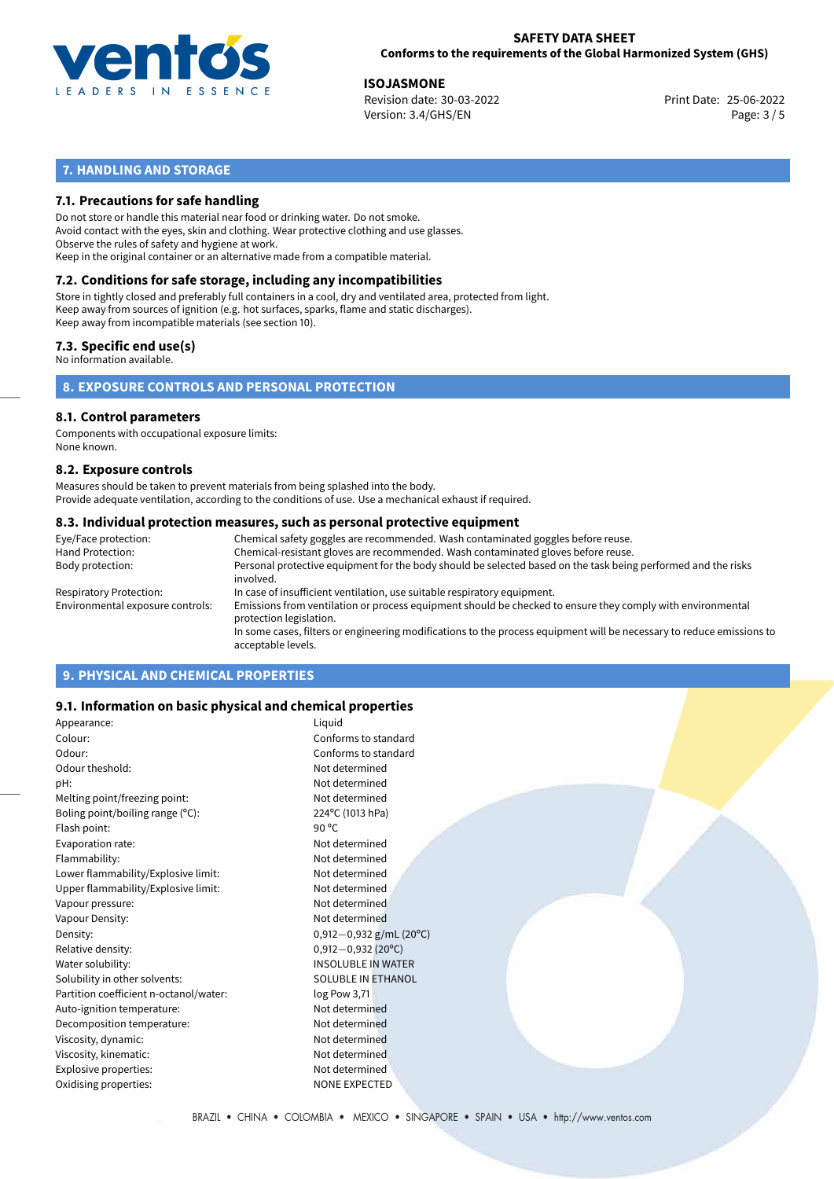

25-06-2022 **ISOJASMONE** Revision date: 30-03-2022 Print Date: Version: 3.4/GHS/EN Page: 3 / 5

# **7. HANDLING AND STORAGE**

# **7.1. Precautions for safe handling**

Do not store or handle this material near food or drinking water. Do not smoke. Avoid contact with the eyes, skin and clothing. Wear protective clothing and use glasses. Observe the rules of safety and hygiene at work. Keep in the original container or an alternative made from a compatible material.

# **7.2. Conditions for safe storage, including any incompatibilities**

Store in tightly closed and preferably full containers in a cool, dry and ventilated area, protected from light. Keep away from sources of ignition (e.g. hot surfaces, sparks, flame and static discharges). Keep away from incompatible materials (see section 10).

# **7.3. Specific end use(s)**

No information available.

**8. EXPOSURE CONTROLS AND PERSONAL PROTECTION**

# **8.1. Control parameters**

Components with occupational exposure limits: None known.

#### **8.2. Exposure controls**

Measures should be taken to prevent materials from being splashed into the body. Provide adequate ventilation, according to the conditions of use. Use a mechanical exhaust if required.

#### **8.3. Individual protection measures, such as personal protective equipment**

| Eye/Face protection:             | Chemical safety goggles are recommended. Wash contaminated goggles before reuse.                                                            |
|----------------------------------|---------------------------------------------------------------------------------------------------------------------------------------------|
| Hand Protection:                 | Chemical-resistant gloves are recommended. Wash contaminated gloves before reuse.                                                           |
| Body protection:                 | Personal protective equipment for the body should be selected based on the task being performed and the risks<br>involved.                  |
| Respiratory Protection:          | In case of insufficient ventilation, use suitable respiratory equipment.                                                                    |
| Environmental exposure controls: | Emissions from ventilation or process equipment should be checked to ensure they comply with environmental<br>protection legislation.       |
|                                  | In some cases, filters or engineering modifications to the process equipment will be necessary to reduce emissions to<br>acceptable levels. |
|                                  |                                                                                                                                             |

# **9. PHYSICAL AND CHEMICAL PROPERTIES**

# **9.1. Information on basic physical and chemical properties**

| Appearance:                            | Liguid                      |
|----------------------------------------|-----------------------------|
| Colour:                                | Conforms to standard        |
| Odour:                                 | Conforms to standard        |
| Odour theshold:                        | Not determined              |
| pH:                                    | Not determined              |
| Melting point/freezing point:          | Not determined              |
| Boling point/boiling range $(°C)$ :    | 224°C (1013 hPa)            |
| Flash point:                           | 90 $^{\circ}$ C             |
| Evaporation rate:                      | Not determined              |
| Flammability:                          | Not determined              |
| Lower flammability/Explosive limit:    | Not determined              |
| Upper flammability/Explosive limit:    | Not determined              |
| Vapour pressure:                       | Not determined              |
| Vapour Density:                        | Not determined              |
| Density:                               | 0,912 $-0$ ,932 g/mL (20°C) |
| Relative density:                      | $0,912 - 0,932$ (20°C)      |
| Water solubility:                      | <b>INSOLUBLE IN WATER</b>   |
| Solubility in other solvents:          | <b>SOLUBLE IN ETHANOL</b>   |
| Partition coefficient n-octanol/water: | log Pow 3,71                |
| Auto-ignition temperature:             | Not determined              |
| Decomposition temperature:             | Not determined              |
| Viscosity, dynamic:                    | Not determined              |
| Viscosity, kinematic:                  | Not determined              |
| Explosive properties:                  | Not determined              |
| Oxidising properties:                  | <b>NONE EXPECTED</b>        |
|                                        |                             |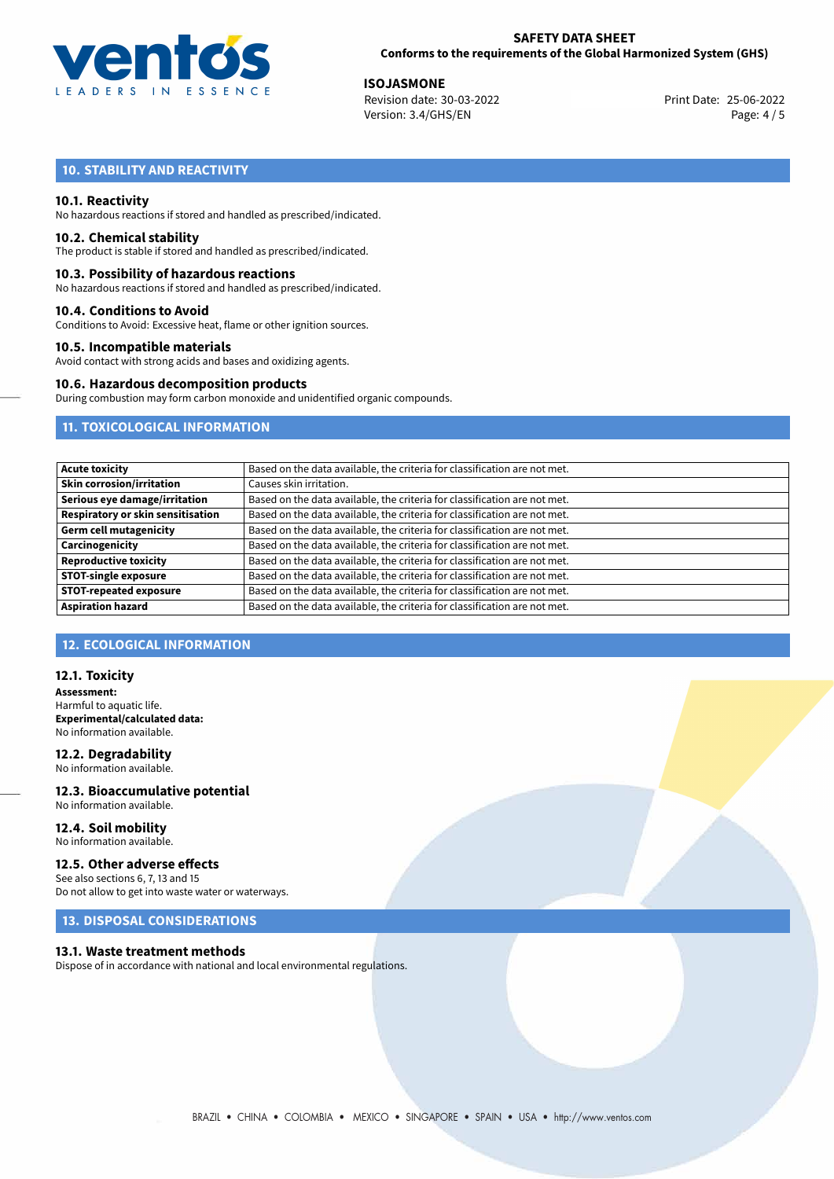

25-06-2022 **ISOJASMONE** Revision date: 30-03-2022 Print Date: Version: 3.4/GHS/EN Page: 4 / 5

# **10. STABILITY AND REACTIVITY**

# **10.1. Reactivity**

No hazardous reactions if stored and handled as prescribed/indicated.

#### **10.2. Chemical stability**

The product is stable if stored and handled as prescribed/indicated.

#### **10.3. Possibility of hazardous reactions**

No hazardous reactions if stored and handled as prescribed/indicated.

#### **10.4. Conditions to Avoid**

Conditions to Avoid: Excessive heat, flame or other ignition sources.

#### **10.5. Incompatible materials**

Avoid contact with strong acids and bases and oxidizing agents.

#### **10.6. Hazardous decomposition products**

During combustion may form carbon monoxide and unidentified organic compounds.

# **11. TOXICOLOGICAL INFORMATION**

| <b>Acute toxicity</b>                    | Based on the data available, the criteria for classification are not met. |
|------------------------------------------|---------------------------------------------------------------------------|
| <b>Skin corrosion/irritation</b>         | Causes skin irritation.                                                   |
| Serious eye damage/irritation            | Based on the data available, the criteria for classification are not met. |
| <b>Respiratory or skin sensitisation</b> | Based on the data available, the criteria for classification are not met. |
| <b>Germ cell mutagenicity</b>            | Based on the data available, the criteria for classification are not met. |
| Carcinogenicity                          | Based on the data available, the criteria for classification are not met. |
| <b>Reproductive toxicity</b>             | Based on the data available, the criteria for classification are not met. |
| <b>STOT-single exposure</b>              | Based on the data available, the criteria for classification are not met. |
| <b>STOT-repeated exposure</b>            | Based on the data available, the criteria for classification are not met. |
| <b>Aspiration hazard</b>                 | Based on the data available, the criteria for classification are not met. |

# **12. ECOLOGICAL INFORMATION**

#### **12.1. Toxicity**

**Assessment:** Harmful to aquatic life. **Experimental/calculated data:** No information available.

#### **12.2. Degradability** No information available.

**12.3. Bioaccumulative potential** No information available.

#### **12.4. Soil mobility** No information available.

**12.5. Other adverse effects**

#### See also sections 6, 7, 13 and 15 Do not allow to get into waste water or waterways.

# **13. DISPOSAL CONSIDERATIONS**

#### **13.1. Waste treatment methods**

Dispose of in accordance with national and local environmental regulations.